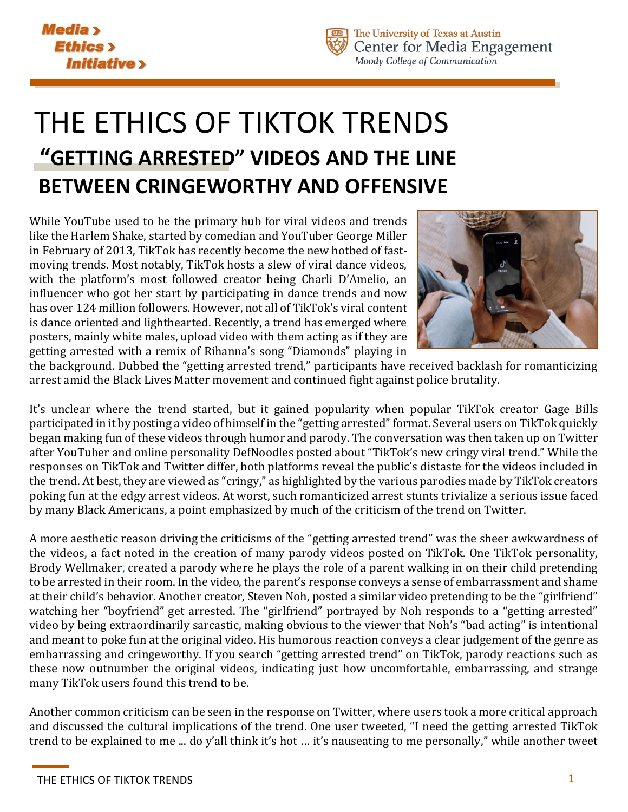

# THE ETHICS OF TIKTOK TRENDS **"GETTING ARRESTED" VIDEOS AND THE LINE BETWEEN CRINGEWORTHY AND OFFENSIVE**

While YouTube used to be the primary hub for viral videos and trends like the Harlem Shake, started by comedian and YouTuber George Miller in February of 2013, TikTok has recently become the new hotbed of fastmoving trends. Most notably, TikTok hosts a slew of viral dance videos, with the platform's most followed creator being Charli D'Amelio, an influencer who got her start by participating in dance trends and now has over 124 million followers. However, not all of TikTok's viral content is dance oriented and lighthearted. Recently, a trend has emerged where posters, mainly white males, upload video with them acting as if they are getting arrested with a remix of Rihanna's song "Diamonds" playing in



the background. Dubbed the "getting arrested trend," participants have received backlash for romanticizing arrest amid the Black Lives Matter movement and continued fight against police brutality.

It's unclear where the trend started, but it gained popularity when popular TikTok creator Gage Bills participated in it by posting a video of himself in the "getting arrested" format. Several users on TikTok quickly began making fun of these videos through humor and parody. The conversation was then taken up on Twitter after YouTuber and online personality DefNoodles posted about "TikTok's new cringy viral trend." While the responses on TikTok and Twitter differ, both platforms reveal the public's distaste for the videos included in the trend. At best, they are viewed as "cringy," as highlighted by the various parodies made by TikTok creators poking fun at the edgy arrest videos. At worst, such romanticized arrest stunts trivialize a serious issue faced by many Black Americans, a point emphasized by much of the criticism of the trend on Twitter.

A more aesthetic reason driving the criticisms of the "getting arrested trend" was the sheer awkwardness of the videos, a fact noted in the creation of many parody videos posted on TikTok. One TikTok personality, Brody Wellmaker, created a parody where he plays the role of a parent walking in on their child pretending to be arrested in their room. In the video, the parent's response conveys a sense of embarrassment and shame at their child's behavior. Another creator, Steven Noh, posted a similar video pretending to be the "girlfriend" watching her "boyfriend" get arrested. The "girlfriend" portrayed by Noh responds to a "getting arrested" video by being extraordinarily sarcastic, making obvious to the viewer that Noh's "bad acting" is intentional and meant to poke fun at the original video. His humorous reaction conveys a clear judgement of the genre as embarrassing and cringeworthy. If you search "getting arrested trend" on TikTok, parody reactions such as these now outnumber the original videos, indicating just how uncomfortable, embarrassing, and strange many TikTok users found this trend to be.

Another common criticism can be seen in the response on Twitter, where users took a more critical approach and discussed the cultural implications of the trend. One user tweeted, "I need the getting arrested TikTok trend to be explained to me ... do y'all think it's hot … it's nauseating to me personally," while another tweet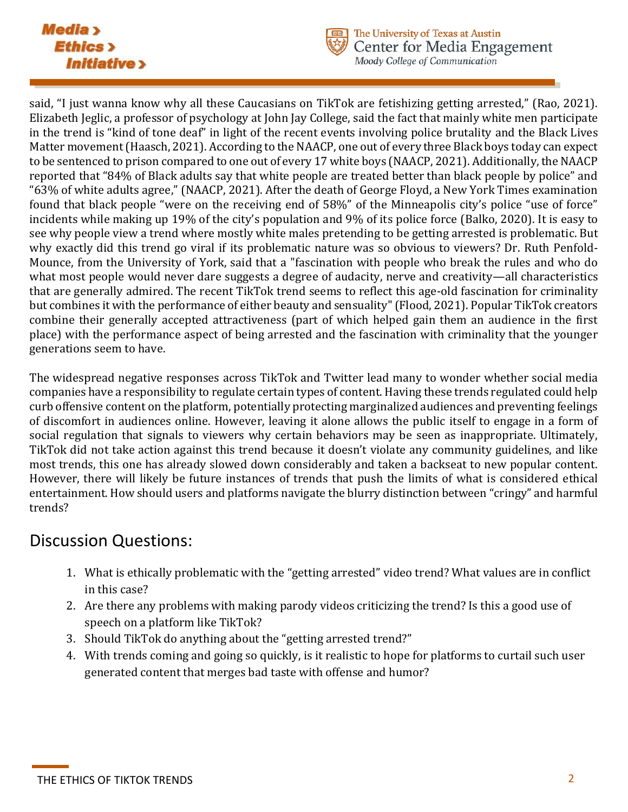#### **Media** > **Ethics**> **Initiative >**



The University of Texas at Austin Center for Media Engagement Moody College of Communication

said, "I just wanna know why all these Caucasians on TikTok are fetishizing getting arrested," (Rao, 2021). Elizabeth Jeglic, a professor of psychology at John Jay College, said the fact that mainly white men participate in the trend is "kind of tone deaf" in light of the recent events involving police brutality and the Black Lives Matter movement (Haasch, 2021). According to the NAACP, one out of every three Black boys today can expect to be sentenced to prison compared to one out of every 17 white boys (NAACP, 2021). Additionally, the NAACP reported that "84% of Black adults say that white people are treated better than black people by police" and "63% of white adults agree," (NAACP, 2021). After the death of George Floyd, a New York Times examination found that black people "were on the receiving end of 58%" of the Minneapolis city's police "use of force" incidents while making up 19% of the city's population and 9% of its police force (Balko, 2020). It is easy to see why people view a trend where mostly white males pretending to be getting arrested is problematic. But why exactly did this trend go viral if its problematic nature was so obvious to viewers? Dr. Ruth Penfold-Mounce, from the University of York, said that a "fascination with people who break the rules and who do what most people would never dare suggests a degree of audacity, nerve and creativity—all characteristics that are generally admired. The recent TikTok trend seems to reflect this age-old fascination for criminality but combines it with the performance of either beauty and sensuality" (Flood, 2021). Popular TikTok creators combine their generally accepted attractiveness (part of which helped gain them an audience in the first place) with the performance aspect of being arrested and the fascination with criminality that the younger generations seem to have.

The widespread negative responses across TikTok and Twitter lead many to wonder whether social media companies have a responsibility to regulate certain types of content. Having these trends regulated could help curb offensive content on the platform, potentially protecting marginalized audiences and preventing feelings of discomfort in audiences online. However, leaving it alone allows the public itself to engage in a form of social regulation that signals to viewers why certain behaviors may be seen as inappropriate. Ultimately, TikTok did not take action against this trend because it doesn't violate any community guidelines, and like most trends, this one has already slowed down considerably and taken a backseat to new popular content. However, there will likely be future instances of trends that push the limits of what is considered ethical entertainment. How should users and platforms navigate the blurry distinction between "cringy" and harmful trends?

## Discussion Questions:

- 1. What is ethically problematic with the "getting arrested" video trend? What values are in conflict in this case?
- 2. Are there any problems with making parody videos criticizing the trend? Is this a good use of speech on a platform like TikTok?
- 3. Should TikTok do anything about the "getting arrested trend?"
- 4. With trends coming and going so quickly, is it realistic to hope for platforms to curtail such user generated content that merges bad taste with offense and humor?